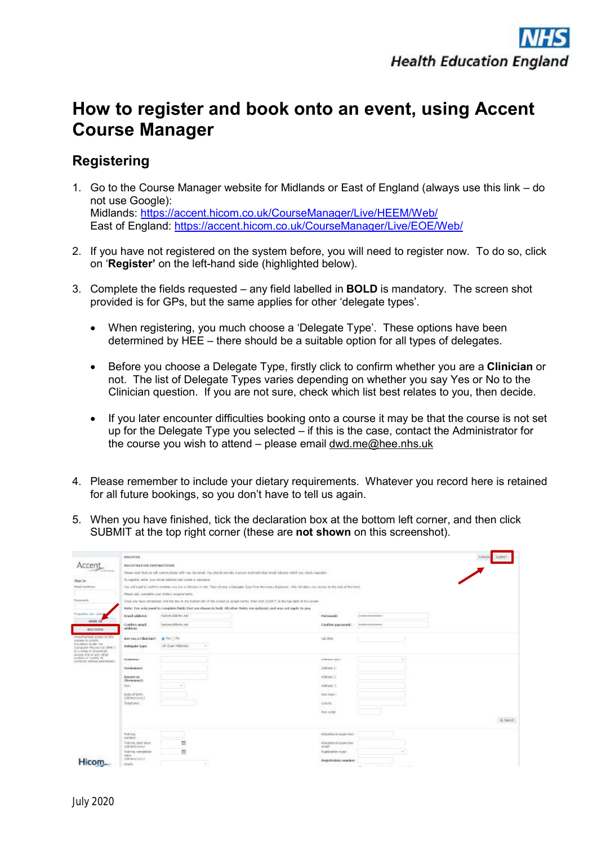## **How to register and book onto an event, using Accent Course Manager**

## **Registering**

- 1. Go to the Course Manager website for Midlands or East of England (always use this link do not use Google): Midlands:<https://accent.hicom.co.uk/CourseManager/Live/HEEM/Web/> East of England: <https://accent.hicom.co.uk/CourseManager/Live/EOE/Web/>
- 2. If you have not registered on the system before, you will need to register now. To do so, click on '**Register'** on the left-hand side (highlighted below).
- 3. Complete the fields requested any field labelled in **BOLD** is mandatory. The screen shot provided is for GPs, but the same applies for other 'delegate types'.
	- · When registering, you much choose a 'Delegate Type'. These options have been determined by HEE – there should be a suitable option for all types of delegates.
	- · Before you choose a Delegate Type, firstly click to confirm whether you are a **Clinician** or not. The list of Delegate Types varies depending on whether you say Yes or No to the Clinician question. If you are not sure, check which list best relates to you, then decide.
	- · If you later encounter difficulties booking onto a course it may be that the course is not set up for the Delegate Type you selected – if this is the case, contact the Administrator for the course you wish to attend – please email [dwd.me@hee.nhs.uk](mailto:dwd.me@hee.nhs.uk)
- 4. Please remember to include your dietary requirements. Whatever you record here is retained for all future bookings, so you don't have to tell us again.
- 5. When you have finished, tick the declaration box at the bottom left corner, and then click SUBMIT at the top right corner (these are **not shown** on this screenshot).

|                                                           | <b>REGISTER</b>                                                                                                                                                        |                                                                                                                           |                                            |                                                                  | <b>CAACE</b><br>31917 |  |  |
|-----------------------------------------------------------|------------------------------------------------------------------------------------------------------------------------------------------------------------------------|---------------------------------------------------------------------------------------------------------------------------|--------------------------------------------|------------------------------------------------------------------|-----------------------|--|--|
|                                                           | <b>BIGHTBATION INSTRUCTIONS</b>                                                                                                                                        |                                                                                                                           |                                            |                                                                  |                       |  |  |
|                                                           | Please sets that we will communicate with you via small, You should provide a secure and individual small selectors With you shock requirely                           |                                                                                                                           |                                            |                                                                  |                       |  |  |
| Skyn I'm                                                  | To registre, ester sour-estat indices and contex a takened.                                                                                                            |                                                                                                                           |                                            |                                                                  |                       |  |  |
| <b>Dream andrews</b>                                      | The will need to confirm whether you are a Circulan of tell. Then choose a Oakgate Type from the means displayed . His will allow you access to the rest of the Ferte. |                                                                                                                           |                                            |                                                                  |                       |  |  |
|                                                           |                                                                                                                                                                        | misson also complete your dietary requirements.                                                                           | VOC 인기 스카루와 블린터 블 쓰이킹 SM WA TOA HOAN (SHA) |                                                                  |                       |  |  |
| <b>Tuesday</b>                                            | lines you have remained, title bis box in the bottom left of the sensor by securit terms. then slick SUSHET at the top date of the streen.                             |                                                                                                                           |                                            |                                                                  |                       |  |  |
|                                                           |                                                                                                                                                                        | wate: The only need to complete fields that are should in bold. All other fields are optional, and stay not apply to you. |                                            |                                                                  |                       |  |  |
| Foregother, pass area                                     | trust selecci-                                                                                                                                                         | loaten aldride, ser                                                                                                       | Pátinoré:                                  | and the control of the first product<br><b>Among createsters</b> |                       |  |  |
| <b>ADGIN TM</b>                                           | Confirm small                                                                                                                                                          | <b>Robertal@elix.net</b>                                                                                                  | Confirm painteord:                         | [WESTERLIFEED]                                                   |                       |  |  |
| <b>SIGNIFE</b>                                            | address:                                                                                                                                                               |                                                                                                                           |                                            |                                                                  |                       |  |  |
| Unautherland accept for this.<br>system is politic        | Ase you a Clinician?                                                                                                                                                   | A Pes (1) Re-                                                                                                             | ad the                                     |                                                                  |                       |  |  |
| For Address Vender, Det<br>CAPAUTH' PREVIEW ALT CRIME III | Delogate type:                                                                                                                                                         | GF-Slast Hillstader<br>$\sim$                                                                                             |                                            |                                                                  |                       |  |  |
| It a crime to imminois.<br>ecosts this or any other       |                                                                                                                                                                        |                                                                                                                           |                                            |                                                                  |                       |  |  |
| looking of modify its:<br>contents without permission.    | SURFACEST                                                                                                                                                              |                                                                                                                           | Johnson System                             | $\sim$                                                           |                       |  |  |
|                                                           | Postelators:                                                                                                                                                           |                                                                                                                           | Address 11                                 |                                                                  |                       |  |  |
|                                                           | <b>RAOVER AIL</b>                                                                                                                                                      |                                                                                                                           | Address 2:                                 |                                                                  |                       |  |  |
|                                                           | (Sommers):                                                                                                                                                             |                                                                                                                           |                                            |                                                                  |                       |  |  |
|                                                           | Sein                                                                                                                                                                   | $\sim$                                                                                                                    | Address 3:                                 |                                                                  |                       |  |  |
|                                                           | mose of birth a<br><b>Udditteriorm's</b>                                                                                                                               |                                                                                                                           | <b>Post tawi</b>                           |                                                                  |                       |  |  |
|                                                           | Total one:                                                                                                                                                             |                                                                                                                           | COUNTY!                                    |                                                                  |                       |  |  |
|                                                           |                                                                                                                                                                        |                                                                                                                           | Rest code:                                 |                                                                  |                       |  |  |
|                                                           |                                                                                                                                                                        |                                                                                                                           |                                            |                                                                  | A Search              |  |  |
|                                                           |                                                                                                                                                                        |                                                                                                                           |                                            |                                                                  |                       |  |  |
|                                                           | training                                                                                                                                                               |                                                                                                                           | included and supervisor's                  |                                                                  |                       |  |  |
|                                                           | ratstat.                                                                                                                                                               |                                                                                                                           |                                            |                                                                  |                       |  |  |
|                                                           | Training start date:<br>Oddimeni interi                                                                                                                                | Ħ                                                                                                                         | <b>Educational inspection</b><br>primall 1 |                                                                  |                       |  |  |
|                                                           | Training completes<br>shakes.                                                                                                                                          | Ė                                                                                                                         | Registration hype:                         | m.                                                               |                       |  |  |
|                                                           | uddowwwww1                                                                                                                                                             |                                                                                                                           | Registations number:                       |                                                                  |                       |  |  |
|                                                           | triade                                                                                                                                                                 | $\sim$                                                                                                                    |                                            | and a string of<br><b>Selection</b>                              |                       |  |  |